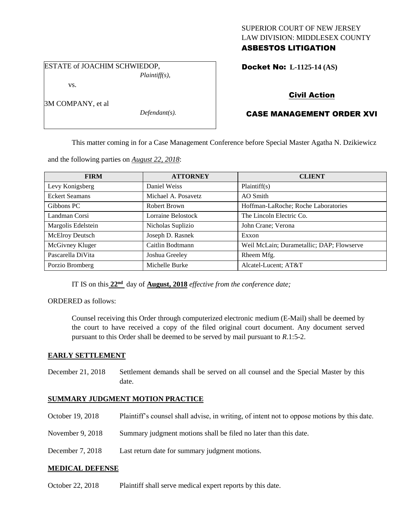## SUPERIOR COURT OF NEW JERSEY LAW DIVISION: MIDDLESEX COUNTY ASBESTOS LITIGATION

ESTATE of JOACHIM SCHWIEDOP,

*Plaintiff(s),*

Docket No: **L-1125-14 (AS)** 

vs.

3M COMPANY, et al

*Defendant(s).*

# Civil Action

## CASE MANAGEMENT ORDER XVI

This matter coming in for a Case Management Conference before Special Master Agatha N. Dzikiewicz

and the following parties on *August 22, 2018*:

| <b>FIRM</b>            | <b>ATTORNEY</b>     | <b>CLIENT</b>                             |
|------------------------|---------------------|-------------------------------------------|
| Levy Konigsberg        | Daniel Weiss        | Plaintiff(s)                              |
| <b>Eckert Seamans</b>  | Michael A. Posavetz | AO Smith                                  |
| Gibbons PC             | Robert Brown        | Hoffman-LaRoche; Roche Laboratories       |
| Landman Corsi          | Lorraine Belostock  | The Lincoln Electric Co.                  |
| Margolis Edelstein     | Nicholas Suplizio   | John Crane; Verona                        |
| <b>McElroy Deutsch</b> | Joseph D. Rasnek    | Exxon                                     |
| McGivney Kluger        | Caitlin Bodtmann    | Weil McLain; Durametallic; DAP; Flowserve |
| Pascarella DiVita      | Joshua Greeley      | Rheem Mfg.                                |
| Porzio Bromberg        | Michelle Burke      | Alcatel-Lucent; AT&T                      |

IT IS on this **22nd** day of **August, 2018** *effective from the conference date;*

ORDERED as follows:

Counsel receiving this Order through computerized electronic medium (E-Mail) shall be deemed by the court to have received a copy of the filed original court document. Any document served pursuant to this Order shall be deemed to be served by mail pursuant to *R*.1:5-2.

## **EARLY SETTLEMENT**

December 21, 2018 Settlement demands shall be served on all counsel and the Special Master by this date.

## **SUMMARY JUDGMENT MOTION PRACTICE**

- October 19, 2018 Plaintiff's counsel shall advise, in writing, of intent not to oppose motions by this date.
- November 9, 2018 Summary judgment motions shall be filed no later than this date.
- December 7, 2018 Last return date for summary judgment motions.

## **MEDICAL DEFENSE**

October 22, 2018 Plaintiff shall serve medical expert reports by this date.